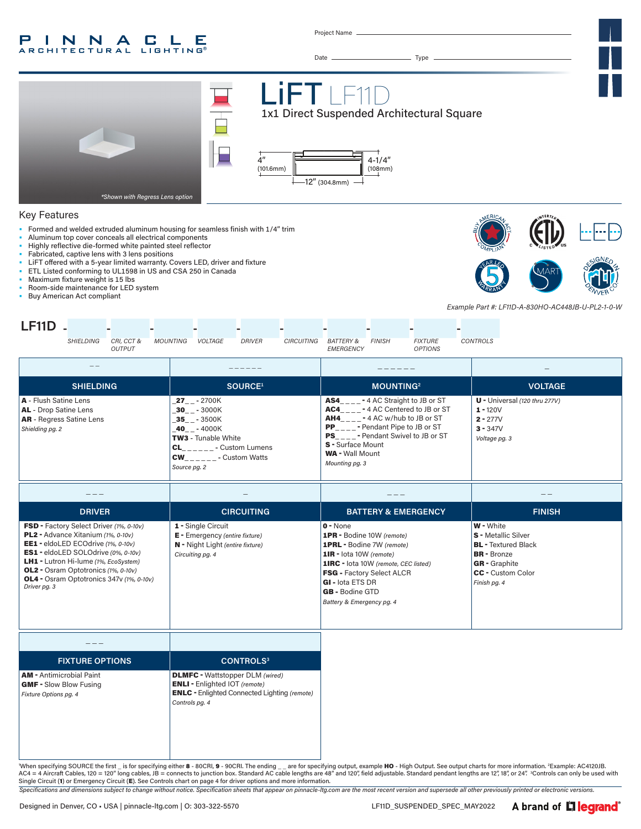#### INNA P C LE **ARCHITECTURAL LIGHTING®**

Project Name

Date Type



#### Key Features

- Formed and welded extruded aluminum housing for seamless finish with 1/4" trim
- Aluminum top cover conceals all electrical components
- Highly reflective die-formed white painted steel reflector
- Fabricated, captive lens with 3 lens positions
- LiFT offered with a 5-year limited warranty. Covers LED, driver and fixture
- ETL Listed conforming to UL1598 in US and CSA 250 in Canada
- Maximum fixture weight is 15 lbs
- Room-side maintenance for LED system
- Buy American Act compliant



*Example Part #: LF11D-A-830HO-AC448JB-U-PL2-1-0-W*

| $I$ E11 $D$ |                  |                             |          |                |               |                   |                                   |               |                                  |          |
|-------------|------------------|-----------------------------|----------|----------------|---------------|-------------------|-----------------------------------|---------------|----------------------------------|----------|
|             | <b>SHIELDING</b> | CRI, CCT &<br><i>OUTPUT</i> | MOUNTING | <b>VOLTAGE</b> | <b>DRIVER</b> | <b>CIRCUITING</b> | <b>BATTERY &amp;</b><br>EMERGENCY | <b>FINISH</b> | <b>FIXTURE</b><br><b>OPTIONS</b> | CONTROLS |

| $ -$ |                                                                                                             |                                                                                                                                                                       | ------                                                                                                                                                                                                                                                                                              |                                                                                            |
|------|-------------------------------------------------------------------------------------------------------------|-----------------------------------------------------------------------------------------------------------------------------------------------------------------------|-----------------------------------------------------------------------------------------------------------------------------------------------------------------------------------------------------------------------------------------------------------------------------------------------------|--------------------------------------------------------------------------------------------|
|      | <b>SHIELDING</b>                                                                                            | SOURCE <sup>1</sup>                                                                                                                                                   | <b>MOUNTING2</b>                                                                                                                                                                                                                                                                                    | <b>VOLTAGE</b>                                                                             |
|      | A - Flush Satine Lens<br><b>AL</b> - Drop Satine Lens<br><b>AR</b> - Regress Satine Lens<br>Shielding pg. 2 | <b>27</b> - 2700K<br>30 - 3000K<br>35 - 3500K<br>40 - 4000K<br><b>TW3</b> - Tunable White<br>- Custom Lumens<br><b>CL</b><br><b>CW</b> - Custom Watts<br>Source pg. 2 | $\text{AS4}_{\_\_\_\_\_\_\_\_\_\_}$ - 4 AC Straight to JB or ST<br><b>AC4</b> - 4 AC Centered to JB or ST<br><b>AH4</b> - 4 AC w/hub to JB or ST<br><b>PP</b> - Pendant Pipe to JB or ST<br><b>PS</b> - Pendant Swivel to JB or ST<br>S - Surface Mount<br><b>WA</b> - Wall Mount<br>Mounting pg. 3 | $U$ - Universal (120 thru 277V)<br>$1 - 120V$<br>$2 - 277V$<br>$3 - 347V$<br>Voltage pg. 3 |
|      |                                                                                                             |                                                                                                                                                                       |                                                                                                                                                                                                                                                                                                     |                                                                                            |
|      | - - - - -- -                                                                                                |                                                                                                                                                                       |                                                                                                                                                                                                                                                                                                     | _______                                                                                    |

| <b>DRIVER</b>                                                                                                                                                                                                                                                                                                                                          | <b>CIRCUITING</b>                                                                                                   | <b>BATTERY &amp; EMERGENCY</b>                                                                                                                                                                                                                                              | <b>FINISH</b>                                                                                                                                                          |
|--------------------------------------------------------------------------------------------------------------------------------------------------------------------------------------------------------------------------------------------------------------------------------------------------------------------------------------------------------|---------------------------------------------------------------------------------------------------------------------|-----------------------------------------------------------------------------------------------------------------------------------------------------------------------------------------------------------------------------------------------------------------------------|------------------------------------------------------------------------------------------------------------------------------------------------------------------------|
| <b>FSD</b> - Factory Select Driver (1%, 0-10v)<br><b>PL2</b> - Advance Xitanium (1%, 0-10v)<br><b>EE1</b> - eldoLED ECOdrive (1%, 0-10v)<br><b>ES1</b> - eldoLED SOLOdrive (0%, 0-10v)<br><b>LH1</b> - Lutron Hi-lume (1%, EcoSystem)<br><b>OL2</b> - Osram Optotronics (1%, 0-10v)<br><b>OL4</b> - Osram Optotronics 347v (1%, 0-10v)<br>Driver pg. 3 | 1 - Single Circuit<br><b>E</b> - Emergency (entire fixture)<br>N - Night Light (entire fixture)<br>Circuiting pg. 4 | $0 - None$<br><b>1PR</b> - Bodine 10W (remote)<br><b>1PRL</b> - Bodine 7W (remote)<br>1IR - lota 10W (remote)<br><b>1IRC</b> - lota 10W (remote, CEC listed)<br><b>FSG - Factory Select ALCR</b><br>GI - lota ETS DR<br><b>GB</b> - Bodine GTD<br>Battery & Emergency pg. 4 | <b>W</b> - White<br><b>S</b> - Metallic Silver<br><b>BL</b> - Textured Black<br><b>BR</b> - Bronze<br><b>GR</b> - Graphite<br><b>CC</b> - Custom Color<br>Finish pg. 4 |

| <b>FIXTURE OPTIONS</b>                                                                    | <b>CONTROLS3</b>                                                                                                                                        |
|-------------------------------------------------------------------------------------------|---------------------------------------------------------------------------------------------------------------------------------------------------------|
| <b>AM</b> - Antimicrobial Paint<br><b>GMF - Slow Blow Fusing</b><br>Fixture Options pg. 4 | <b>DLMFC</b> - Wattstopper DLM (wired)<br><b>ENLI</b> - Enlighted IOT (remote)<br><b>ENLC</b> - Enlighted Connected Lighting (remote)<br>Controls pg. 4 |

"When specifying SOURCE the first \_ is for specifying either 8 - 80CRI, 9 - 90CRI. The ending \_\_ are for specifying output, example **HO** - High Output. See output charts for more information. <sup>2</sup>Example: AC4120JB.<br>AC4 = 4 Single Circuit (1) or Emergency Circuit (E). See Controls chart on page 4 for driver options and more information.

*Specifications and dimensions subject to change without notice. Specification sheets that appear on pinnacle-ltg.com are the most recent version and supersede all other previously printed or electronic versions.*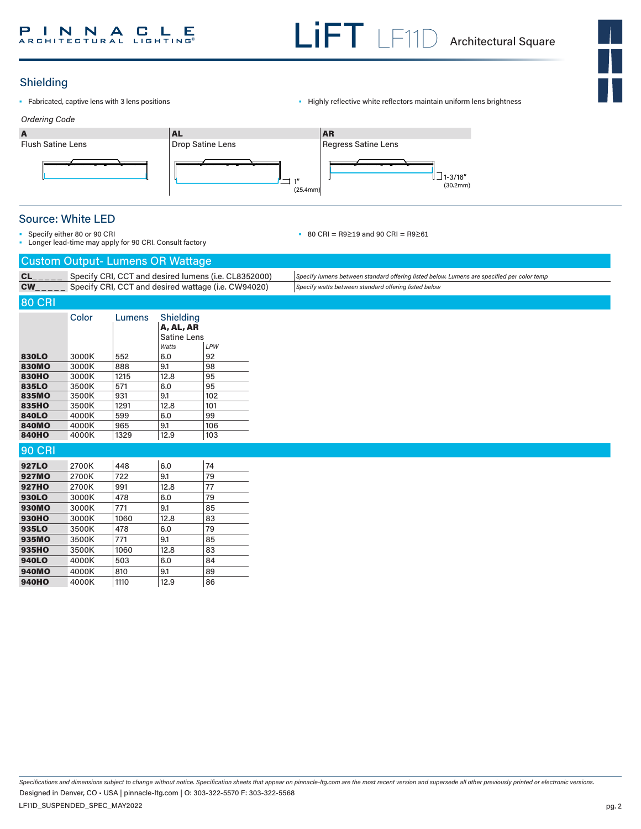

# Shielding

- 
- Fabricated, captive lens with 3 lens positions  **Captive 1998** Highly reflective white reflectors maintain uniform lens brightness



## Source: White LED

- Specify either 80 or 90 CRI
	- Longer lead-time may apply for 90 CRI. Consult factory
- 80 CRI = R9≥19 and 90 CRI = R9≥61

| <b>Custom Output- Lumens OR Wattage</b><br>Specify CRI, CCT and desired lumens (i.e. CL8352000)<br>CL<br>Specify lumens between standard offering listed below. Lumens are specified per color temp<br>Specify CRI, CCT and desired wattage (i.e. CW94020)<br><b>CW</b><br>Specify watts between standard offering listed below<br><b>80 CRI</b><br>Color<br>Shielding<br>Lumens<br>A, AL, AR<br><b>Satine Lens</b><br>LPW<br>Watts<br>6.0<br>92<br>830LO<br>3000K<br>552<br>9.1<br>98<br><b>830MO</b><br>888<br>3000K<br>95<br><b>830HO</b><br>3000K<br>1215<br>12.8<br>835LO<br>571<br>95<br>3500K<br>6.0<br><b>835MO</b><br>931<br>9.1<br>102<br>3500K<br>835HO<br>1291<br>101<br>3500K<br>12.8<br>840LO<br>599<br>99<br>4000K<br>6.0<br><b>840MO</b><br>965<br>9.1<br>4000K<br>106<br>1329<br>12.9<br>103<br><b>840HO</b><br>4000K<br><b>90 CRI</b><br>6.0<br>74<br>927LO<br>2700K<br>448<br>79<br><b>927MO</b><br>722<br>9.1<br>2700K<br>77<br>12.8<br><b>927HO</b><br>2700K<br>991<br>79<br>478<br>6.0<br>930LO<br>3000K<br>771<br>9.1<br>85<br><b>930MO</b><br>3000K<br>83<br><b>930HO</b><br>1060<br>12.8<br>3000K<br>935LO<br>478<br>6.0<br>79<br>3500K<br>935MO<br>771<br>9.1<br>85<br>3500K<br>83<br>935HO<br>3500K<br>1060<br>12.8<br>503<br>84<br><b>940LO</b><br>4000K<br>6.0<br><b>940MO</b><br>810<br>9.1<br>89<br>4000K<br>86<br><b>940HO</b><br>4000K<br>1110<br>12.9 | Longer read-time may apply for 90 CRI. Consult factory |  |  |  |  |  |  |  |
|-----------------------------------------------------------------------------------------------------------------------------------------------------------------------------------------------------------------------------------------------------------------------------------------------------------------------------------------------------------------------------------------------------------------------------------------------------------------------------------------------------------------------------------------------------------------------------------------------------------------------------------------------------------------------------------------------------------------------------------------------------------------------------------------------------------------------------------------------------------------------------------------------------------------------------------------------------------------------------------------------------------------------------------------------------------------------------------------------------------------------------------------------------------------------------------------------------------------------------------------------------------------------------------------------------------------------------------------------------------------------------------------|--------------------------------------------------------|--|--|--|--|--|--|--|
|                                                                                                                                                                                                                                                                                                                                                                                                                                                                                                                                                                                                                                                                                                                                                                                                                                                                                                                                                                                                                                                                                                                                                                                                                                                                                                                                                                                         |                                                        |  |  |  |  |  |  |  |
|                                                                                                                                                                                                                                                                                                                                                                                                                                                                                                                                                                                                                                                                                                                                                                                                                                                                                                                                                                                                                                                                                                                                                                                                                                                                                                                                                                                         |                                                        |  |  |  |  |  |  |  |
|                                                                                                                                                                                                                                                                                                                                                                                                                                                                                                                                                                                                                                                                                                                                                                                                                                                                                                                                                                                                                                                                                                                                                                                                                                                                                                                                                                                         |                                                        |  |  |  |  |  |  |  |
|                                                                                                                                                                                                                                                                                                                                                                                                                                                                                                                                                                                                                                                                                                                                                                                                                                                                                                                                                                                                                                                                                                                                                                                                                                                                                                                                                                                         |                                                        |  |  |  |  |  |  |  |
|                                                                                                                                                                                                                                                                                                                                                                                                                                                                                                                                                                                                                                                                                                                                                                                                                                                                                                                                                                                                                                                                                                                                                                                                                                                                                                                                                                                         |                                                        |  |  |  |  |  |  |  |
|                                                                                                                                                                                                                                                                                                                                                                                                                                                                                                                                                                                                                                                                                                                                                                                                                                                                                                                                                                                                                                                                                                                                                                                                                                                                                                                                                                                         |                                                        |  |  |  |  |  |  |  |
|                                                                                                                                                                                                                                                                                                                                                                                                                                                                                                                                                                                                                                                                                                                                                                                                                                                                                                                                                                                                                                                                                                                                                                                                                                                                                                                                                                                         |                                                        |  |  |  |  |  |  |  |
|                                                                                                                                                                                                                                                                                                                                                                                                                                                                                                                                                                                                                                                                                                                                                                                                                                                                                                                                                                                                                                                                                                                                                                                                                                                                                                                                                                                         |                                                        |  |  |  |  |  |  |  |
|                                                                                                                                                                                                                                                                                                                                                                                                                                                                                                                                                                                                                                                                                                                                                                                                                                                                                                                                                                                                                                                                                                                                                                                                                                                                                                                                                                                         |                                                        |  |  |  |  |  |  |  |
|                                                                                                                                                                                                                                                                                                                                                                                                                                                                                                                                                                                                                                                                                                                                                                                                                                                                                                                                                                                                                                                                                                                                                                                                                                                                                                                                                                                         |                                                        |  |  |  |  |  |  |  |
|                                                                                                                                                                                                                                                                                                                                                                                                                                                                                                                                                                                                                                                                                                                                                                                                                                                                                                                                                                                                                                                                                                                                                                                                                                                                                                                                                                                         |                                                        |  |  |  |  |  |  |  |
|                                                                                                                                                                                                                                                                                                                                                                                                                                                                                                                                                                                                                                                                                                                                                                                                                                                                                                                                                                                                                                                                                                                                                                                                                                                                                                                                                                                         |                                                        |  |  |  |  |  |  |  |
|                                                                                                                                                                                                                                                                                                                                                                                                                                                                                                                                                                                                                                                                                                                                                                                                                                                                                                                                                                                                                                                                                                                                                                                                                                                                                                                                                                                         |                                                        |  |  |  |  |  |  |  |
|                                                                                                                                                                                                                                                                                                                                                                                                                                                                                                                                                                                                                                                                                                                                                                                                                                                                                                                                                                                                                                                                                                                                                                                                                                                                                                                                                                                         |                                                        |  |  |  |  |  |  |  |
|                                                                                                                                                                                                                                                                                                                                                                                                                                                                                                                                                                                                                                                                                                                                                                                                                                                                                                                                                                                                                                                                                                                                                                                                                                                                                                                                                                                         |                                                        |  |  |  |  |  |  |  |
|                                                                                                                                                                                                                                                                                                                                                                                                                                                                                                                                                                                                                                                                                                                                                                                                                                                                                                                                                                                                                                                                                                                                                                                                                                                                                                                                                                                         |                                                        |  |  |  |  |  |  |  |
|                                                                                                                                                                                                                                                                                                                                                                                                                                                                                                                                                                                                                                                                                                                                                                                                                                                                                                                                                                                                                                                                                                                                                                                                                                                                                                                                                                                         |                                                        |  |  |  |  |  |  |  |
|                                                                                                                                                                                                                                                                                                                                                                                                                                                                                                                                                                                                                                                                                                                                                                                                                                                                                                                                                                                                                                                                                                                                                                                                                                                                                                                                                                                         |                                                        |  |  |  |  |  |  |  |
|                                                                                                                                                                                                                                                                                                                                                                                                                                                                                                                                                                                                                                                                                                                                                                                                                                                                                                                                                                                                                                                                                                                                                                                                                                                                                                                                                                                         |                                                        |  |  |  |  |  |  |  |
|                                                                                                                                                                                                                                                                                                                                                                                                                                                                                                                                                                                                                                                                                                                                                                                                                                                                                                                                                                                                                                                                                                                                                                                                                                                                                                                                                                                         |                                                        |  |  |  |  |  |  |  |
|                                                                                                                                                                                                                                                                                                                                                                                                                                                                                                                                                                                                                                                                                                                                                                                                                                                                                                                                                                                                                                                                                                                                                                                                                                                                                                                                                                                         |                                                        |  |  |  |  |  |  |  |
|                                                                                                                                                                                                                                                                                                                                                                                                                                                                                                                                                                                                                                                                                                                                                                                                                                                                                                                                                                                                                                                                                                                                                                                                                                                                                                                                                                                         |                                                        |  |  |  |  |  |  |  |
|                                                                                                                                                                                                                                                                                                                                                                                                                                                                                                                                                                                                                                                                                                                                                                                                                                                                                                                                                                                                                                                                                                                                                                                                                                                                                                                                                                                         |                                                        |  |  |  |  |  |  |  |
|                                                                                                                                                                                                                                                                                                                                                                                                                                                                                                                                                                                                                                                                                                                                                                                                                                                                                                                                                                                                                                                                                                                                                                                                                                                                                                                                                                                         |                                                        |  |  |  |  |  |  |  |
|                                                                                                                                                                                                                                                                                                                                                                                                                                                                                                                                                                                                                                                                                                                                                                                                                                                                                                                                                                                                                                                                                                                                                                                                                                                                                                                                                                                         |                                                        |  |  |  |  |  |  |  |
|                                                                                                                                                                                                                                                                                                                                                                                                                                                                                                                                                                                                                                                                                                                                                                                                                                                                                                                                                                                                                                                                                                                                                                                                                                                                                                                                                                                         |                                                        |  |  |  |  |  |  |  |
|                                                                                                                                                                                                                                                                                                                                                                                                                                                                                                                                                                                                                                                                                                                                                                                                                                                                                                                                                                                                                                                                                                                                                                                                                                                                                                                                                                                         |                                                        |  |  |  |  |  |  |  |
|                                                                                                                                                                                                                                                                                                                                                                                                                                                                                                                                                                                                                                                                                                                                                                                                                                                                                                                                                                                                                                                                                                                                                                                                                                                                                                                                                                                         |                                                        |  |  |  |  |  |  |  |

*Specifications and dimensions subject to change without notice. Specification sheets that appear on pinnacle-ltg.com are the most recent version and supersede all other previously printed or electronic versions.* LF11D\_SUSPENDED\_SPEC\_MAY2022 Designed in Denver, CO • USA | pinnacle-ltg.com | O: 303-322-5570 F: 303-322-5568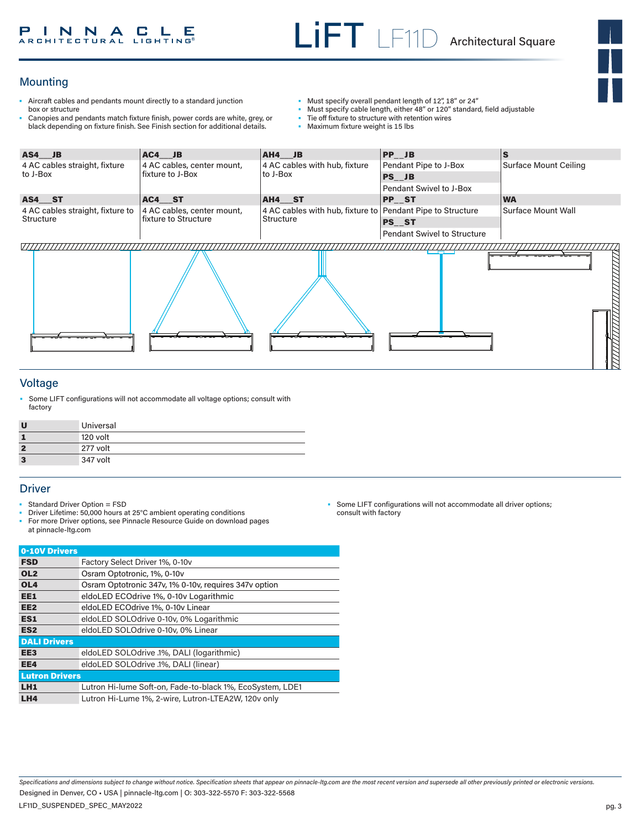## Mounting

- Aircraft cables and pendants mount directly to a standard junction box or structure
- Canopies and pendants match fixture finish, power cords are white, grey, or black depending on fixture finish. See Finish section for additional details.
- Must specify overall pendant length of 12", 18" or 24"
- Must specify cable length, either 48" or 120" standard, field adjustable
- Tie off fixture to structure with retention wires<br>• Maximum fixture weight is 15 lbs
- Maximum fixture weight is 15 lbs



#### Voltage

• Some LIFT configurations will not accommodate all voltage options; consult with factory

| U              | Universal |
|----------------|-----------|
| 1              | 120 volt  |
| $\overline{2}$ | 277 volt  |
| 3              | 347 volt  |

#### **Driver**

- Standard Driver Option = FSD
- Driver Lifetime: 50,000 hours at 25°C ambient operating conditions
- For more Driver options, see Pinnacle Resource Guide on download pages at pinnacle-ltg.com

| Factory Select Driver 1%, 0-10v                           |
|-----------------------------------------------------------|
| Osram Optotronic, 1%, 0-10v                               |
| Osram Optotronic 347v, 1% 0-10v, requires 347v option     |
| eldoLED ECOdrive 1%, 0-10v Logarithmic                    |
| eldoLED ECOdrive 1%, 0-10y Linear                         |
| eldoLED SOLOdrive 0-10v, 0% Logarithmic                   |
| eldoLED SOLOdrive 0-10v, 0% Linear                        |
|                                                           |
| eldoLED SOLOdrive .1%, DALI (logarithmic)                 |
| eldoLED SOLOdrive .1%, DALI (linear)                      |
| <b>Lutron Drivers</b>                                     |
| Lutron Hi-lume Soft-on, Fade-to-black 1%, EcoSystem, LDE1 |
| Lutron Hi-Lume 1%, 2-wire, Lutron-LTEA2W, 120v only       |
|                                                           |

• Some LIFT configurations will not accommodate all driver options; consult with factory

*Specifications and dimensions subject to change without notice. Specification sheets that appear on pinnacle-ltg.com are the most recent version and supersede all other previously printed or electronic versions.* Designed in Denver, CO • USA | pinnacle-ltg.com | O: 303-322-5570 F: 303-322-5568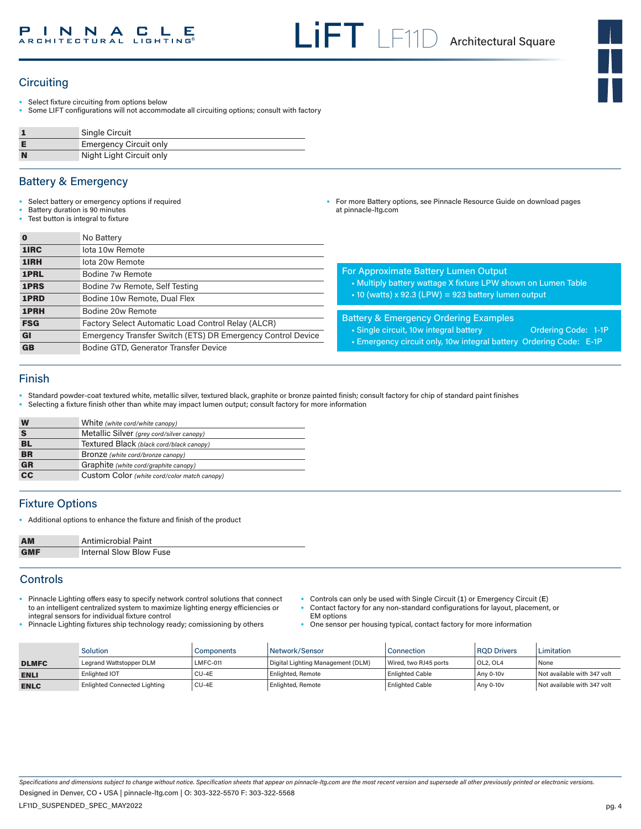• For more Battery options, see Pinnacle Resource Guide on download pages

## **Circuiting**

- Select fixture circuiting from options below
- Some LIFT configurations will not accommodate all circuiting options; consult with factory

|   | Single Circuit                |
|---|-------------------------------|
|   | <b>Emergency Circuit only</b> |
| N | Night Light Circuit only      |

#### Battery & Emergency

- Select battery or emergency options if required
- Battery duration is 90 minutes
- Test button is integral to fixture

|            | No Battery                                                  |                                                                      |  |  |
|------------|-------------------------------------------------------------|----------------------------------------------------------------------|--|--|
| 1IRC       | lota 10w Remote                                             |                                                                      |  |  |
| 1IRH       | lota 20w Remote                                             |                                                                      |  |  |
| 1PRL       | Bodine 7w Remote                                            | <b>For Approximate Battery Lumen Output</b>                          |  |  |
| 1PRS       | Bodine 7w Remote, Self Testing                              | • Multiply battery wattage X fixture LPW shown on Lumen Table        |  |  |
| 1PRD       | Bodine 10w Remote, Dual Flex                                | $\cdot$ 10 (watts) x 92.3 (LPW) = 923 battery lumen output           |  |  |
| 1PRH       | Bodine 20w Remote                                           |                                                                      |  |  |
| <b>FSG</b> | Factory Select Automatic Load Control Relay (ALCR)          | <b>Battery &amp; Emergency Ordering Examples</b>                     |  |  |
| GI         | Emergency Transfer Switch (ETS) DR Emergency Control Device | • Single circuit, 10w integral battery<br><b>Ordering Code: 1-1P</b> |  |  |
| <b>GB</b>  | Bodine GTD, Generator Transfer Device                       | - Emergency circuit only, 10w integral battery Ordering Code: E-1P   |  |  |

at pinnacle-ltg.com

#### Finish

• Standard powder-coat textured white, metallic silver, textured black, graphite or bronze painted finish; consult factory for chip of standard paint finishes

• Selecting a fixture finish other than white may impact lumen output; consult factory for more information

| W               | White (white cord/white canopy)              |
|-----------------|----------------------------------------------|
| S               | Metallic Silver (grey cord/silver canopy)    |
| BL              | Textured Black (black cord/black canopy)     |
| <b>BR</b>       | Bronze (white cord/bronze canopy)            |
| <b>GR</b>       | Graphite (white cord/graphite canopy)        |
| $\overline{cc}$ | Custom Color (white cord/color match canopy) |

## Fixture Options

• Additional options to enhance the fixture and finish of the product

| <b>AM</b>  | <b>Antimicrobial Paint</b> |
|------------|----------------------------|
| <b>GMF</b> | Internal Slow Blow Fuse    |

### **Controls**

- Pinnacle Lighting offers easy to specify network control solutions that connect to an intelligent centralized system to maximize lighting energy efficiencies or integral sensors for individual fixture control
- Pinnacle Lighting fixtures ship technology ready; comissioning by others
- Controls can only be used with Single Circuit (**1**) or Emergency Circuit (**E**) • Contact factory for any non-standard configurations for layout, placement, or EM options
	- One sensor per housing typical, contact factory for more information

|              | <b>Solution</b>                     | Components      | Network/Sensor                    | Connection             | <b>ROD Drivers</b>                | <b>Limitation</b>           |
|--------------|-------------------------------------|-----------------|-----------------------------------|------------------------|-----------------------------------|-----------------------------|
| <b>DLMFC</b> | Legrand Wattstopper DLM             | <b>LMFC-011</b> | Digital Lighting Management (DLM) | Wired, two RJ45 ports  | OL <sub>2</sub> , OL <sub>4</sub> | None                        |
| <b>ENLI</b>  | Enlighted IOT                       | CU-4E           | <b>Enlighted, Remote</b>          | <b>Enlighted Cable</b> | Any 0-10y                         | Not available with 347 volt |
| <b>ENLC</b>  | <b>Enlighted Connected Lighting</b> | CU-4E           | <b>Enlighted, Remote</b>          | <b>Enlighted Cable</b> | Any 0-10v                         | Not available with 347 volt |